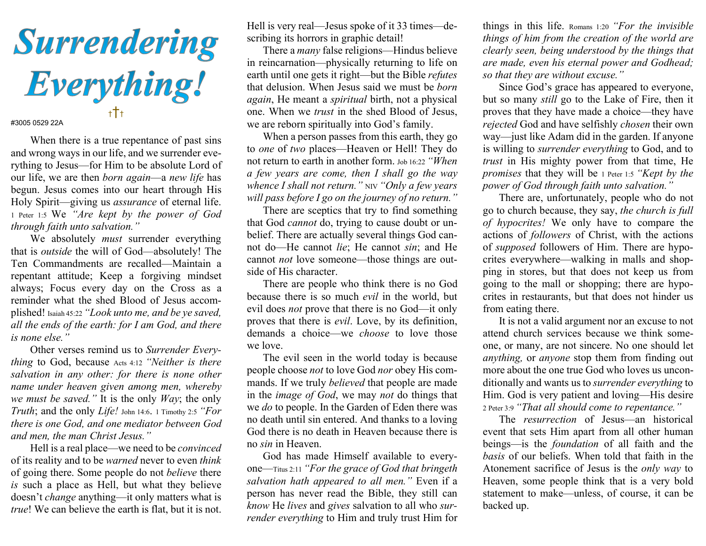

## #3005 0529 22A

When there is a true repentance of past sins and wrong ways in our life, and we surrender everything to Jesus—for Him to be absolute Lord of our life, we are then born again—a new life has begun. Jesus comes into our heart through His Holy Spirit—giving us assurance of eternal life. 1 Peter 1:5 We "Are kept by the power of God through faith unto salvation."

We absolutely *must* surrender everything that is outside the will of God—absolutely! The Ten Commandments are recalled—Maintain a repentant attitude; Keep a forgiving mindset always; Focus every day on the Cross as a reminder what the shed Blood of Jesus accomplished! Isaiah 45:22 "Look unto me, and be ye saved, all the ends of the earth: for I am God, and there is none else."

Other verses remind us to Surrender Everything to God, because Acts 4:12 "Neither is there salvation in any other: for there is none other name under heaven given among men, whereby we must be saved." It is the only  $Way$ ; the only Truth; and the only Life! John 14:6. 1 Timothy 2:5 "For there is one God, and one mediator between God and men, the man Christ Jesus."

Hell is a real place—we need to be convinced of its reality and to be warned never to even think of going there. Some people do not believe there is such a place as Hell, but what they believe doesn't change anything—it only matters what is true! We can believe the earth is flat, but it is not.

Hell is very real—Jesus spoke of it 33 times—describing its horrors in graphic detail!

 There a many false religions—Hindus believe in reincarnation—physically returning to life on earth until one gets it right—but the Bible refutes that delusion. When Jesus said we must be born again, He meant a spiritual birth, not a physical one. When we trust in the shed Blood of Jesus, we are reborn spiritually into God's family.

 When a person passes from this earth, they go to one of two places—Heaven or Hell! They do not return to earth in another form. Job 16:22 "When a few years are come, then I shall go the way whence I shall not return."  $NIV$  "Only a few years" will pass before I go on the journey of no return."

 There are sceptics that try to find something that God cannot do, trying to cause doubt or unbelief. There are actually several things God cannot do—He cannot lie; He cannot sin; and He cannot not love someone—those things are outside of His character.

 There are people who think there is no God because there is so much evil in the world, but evil does not prove that there is no God—it only proves that there is evil. Love, by its definition, demands a choice—we choose to love those we love.

 The evil seen in the world today is because people choose not to love God nor obey His commands. If we truly believed that people are made in the image of God, we may not do things that we *do* to people. In the Garden of Eden there was no death until sin entered. And thanks to a loving God there is no death in Heaven because there is no sin in Heaven.

 God has made Himself available to everyone—Titus 2:11 "For the grace of God that bringeth salvation hath appeared to all men." Even if a person has never read the Bible, they still can know He lives and gives salvation to all who surrender everything to Him and truly trust Him for

things in this life. Romans 1:20 "For the invisible things of him from the creation of the world are clearly seen, being understood by the things that are made, even his eternal power and Godhead; so that they are without excuse."

 Since God's grace has appeared to everyone, but so many still go to the Lake of Fire, then it proves that they have made a choice—they have rejected God and have selfishly chosen their own way—just like Adam did in the garden. If anyone is willing to surrender everything to God, and to trust in His mighty power from that time, He promises that they will be 1 Peter 1:5 "Kept by the power of God through faith unto salvation."

 There are, unfortunately, people who do not go to church because, they say, the church is full of hypocrites! We only have to compare the actions of followers of Christ, with the actions of supposed followers of Him. There are hypocrites everywhere—walking in malls and shopping in stores, but that does not keep us from going to the mall or shopping; there are hypocrites in restaurants, but that does not hinder us from eating there.

 It is not a valid argument nor an excuse to not attend church services because we think someone, or many, are not sincere. No one should let anything, or anyone stop them from finding out more about the one true God who loves us unconditionally and wants us to surrender everything to Him. God is very patient and loving—His desire 2 Peter 3:9 "That all should come to repentance."

 The resurrection of Jesus—an historical event that sets Him apart from all other human beings—is the foundation of all faith and the basis of our beliefs. When told that faith in the Atonement sacrifice of Jesus is the only way to Heaven, some people think that is a very bold statement to make—unless, of course, it can be backed up.